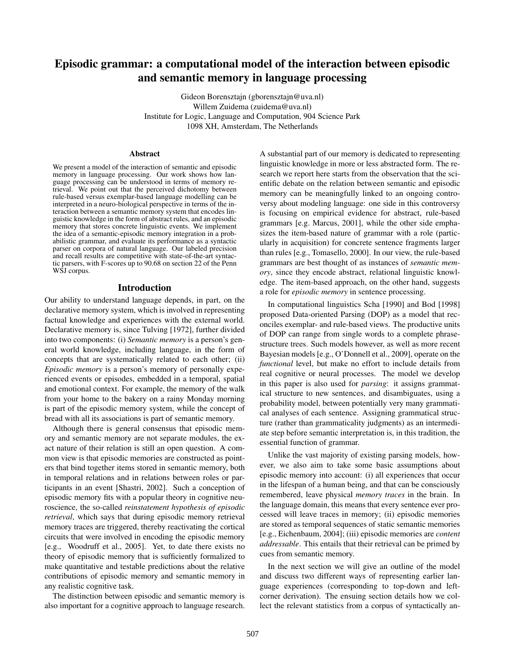# Episodic grammar: a computational model of the interaction between episodic and semantic memory in language processing

Gideon Borensztajn (gborensztajn@uva.nl) Willem Zuidema (zuidema@uva.nl) Institute for Logic, Language and Computation, 904 Science Park 1098 XH, Amsterdam, The Netherlands

#### Abstract

We present a model of the interaction of semantic and episodic memory in language processing. Our work shows how language processing can be understood in terms of memory retrieval. We point out that the perceived dichotomy between rule-based versus exemplar-based language modelling can be interpreted in a neuro-biological perspective in terms of the interaction between a semantic memory system that encodes linguistic knowledge in the form of abstract rules, and an episodic memory that stores concrete linguistic events. We implement the idea of a semantic-episodic memory integration in a probabilistic grammar, and evaluate its performance as a syntactic parser on corpora of natural language. Our labeled precision and recall results are competitive with state-of-the-art syntactic parsers, with F-scores up to 90.68 on section 22 of the Penn WSJ corpus.

### Introduction

Our ability to understand language depends, in part, on the declarative memory system, which is involved in representing factual knowledge and experiences with the external world. Declarative memory is, since Tulving [1972], further divided into two components: (i) *Semantic memory* is a person's general world knowledge, including language, in the form of concepts that are systematically related to each other; (ii) *Episodic memory* is a person's memory of personally experienced events or episodes, embedded in a temporal, spatial and emotional context. For example, the memory of the walk from your home to the bakery on a rainy Monday morning is part of the episodic memory system, while the concept of bread with all its associations is part of semantic memory.

Although there is general consensus that episodic memory and semantic memory are not separate modules, the exact nature of their relation is still an open question. A common view is that episodic memories are constructed as pointers that bind together items stored in semantic memory, both in temporal relations and in relations between roles or participants in an event [Shastri, 2002]. Such a conception of episodic memory fits with a popular theory in cognitive neuroscience, the so-called *reinstatement hypothesis of episodic retrieval*, which says that during episodic memory retrieval memory traces are triggered, thereby reactivating the cortical circuits that were involved in encoding the episodic memory [e.g., Woodruff et al., 2005]. Yet, to date there exists no theory of episodic memory that is sufficiently formalized to make quantitative and testable predictions about the relative contributions of episodic memory and semantic memory in any realistic cognitive task.

The distinction between episodic and semantic memory is also important for a cognitive approach to language research. A substantial part of our memory is dedicated to representing linguistic knowledge in more or less abstracted form. The research we report here starts from the observation that the scientific debate on the relation between semantic and episodic memory can be meaningfully linked to an ongoing controversy about modeling language: one side in this controversy is focusing on empirical evidence for abstract, rule-based grammars [e.g. Marcus, 2001], while the other side emphasizes the item-based nature of grammar with a role (particularly in acquisition) for concrete sentence fragments larger than rules [e.g., Tomasello, 2000]. In our view, the rule-based grammars are best thought of as instances of *semantic memory*, since they encode abstract, relational linguistic knowledge. The item-based approach, on the other hand, suggests a role for *episodic memory* in sentence processing.

In computational linguistics Scha [1990] and Bod [1998] proposed Data-oriented Parsing (DOP) as a model that reconciles exemplar- and rule-based views. The productive units of DOP can range from single words to a complete phrasestructure trees. Such models however, as well as more recent Bayesian models [e.g., O'Donnell et al., 2009], operate on the *functional* level, but make no effort to include details from real cognitive or neural processes. The model we develop in this paper is also used for *parsing*: it assigns grammatical structure to new sentences, and disambiguates, using a probability model, between potentially very many grammatical analyses of each sentence. Assigning grammatical structure (rather than grammaticality judgments) as an intermediate step before semantic interpretation is, in this tradition, the essential function of grammar.

Unlike the vast majority of existing parsing models, however, we also aim to take some basic assumptions about episodic memory into account: (i) all experiences that occur in the lifespan of a human being, and that can be consciously remembered, leave physical *memory traces* in the brain. In the language domain, this means that every sentence ever processed will leave traces in memory; (ii) episodic memories are stored as temporal sequences of static semantic memories [e.g., Eichenbaum, 2004]; (iii) episodic memories are *content addressable*. This entails that their retrieval can be primed by cues from semantic memory.

In the next section we will give an outline of the model and discuss two different ways of representing earlier language experiences (corresponding to top-down and leftcorner derivation). The ensuing section details how we collect the relevant statistics from a corpus of syntactically an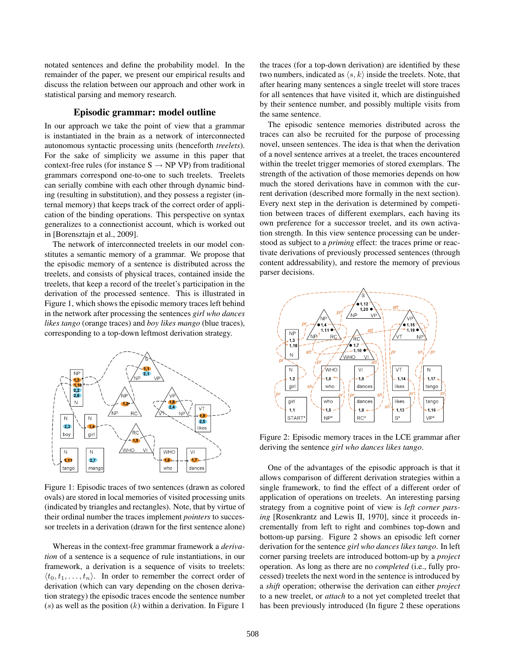notated sentences and define the probability model. In the remainder of the paper, we present our empirical results and discuss the relation between our approach and other work in statistical parsing and memory research.

### Episodic grammar: model outline

In our approach we take the point of view that a grammar is instantiated in the brain as a network of interconnected autonomous syntactic processing units (henceforth *treelets*). For the sake of simplicity we assume in this paper that context-free rules (for instance  $S \rightarrow NP VP$ ) from traditional grammars correspond one-to-one to such treelets. Treelets can serially combine with each other through dynamic binding (resulting in substitution), and they possess a register (internal memory) that keeps track of the correct order of application of the binding operations. This perspective on syntax generalizes to a connectionist account, which is worked out in [Borensztajn et al., 2009].

The network of interconnected treelets in our model constitutes a semantic memory of a grammar. We propose that the episodic memory of a sentence is distributed across the treelets, and consists of physical traces, contained inside the treelets, that keep a record of the treelet's participation in the derivation of the processed sentence. This is illustrated in Figure 1, which shows the episodic memory traces left behind in the network after processing the sentences *girl who dances likes tango* (orange traces) and *boy likes mango* (blue traces), corresponding to a top-down leftmost derivation strategy.



Figure 1: Episodic traces of two sentences (drawn as colored ovals) are stored in local memories of visited processing units (indicated by triangles and rectangles). Note, that by virtue of their ordinal number the traces implement *pointers* to successor treelets in a derivation (drawn for the first sentence alone)

Whereas in the context-free grammar framework a *derivation* of a sentence is a sequence of rule instantiations, in our framework, a derivation is a sequence of visits to treelets:  $\langle t_0, t_1, \ldots, t_n \rangle$ . In order to remember the correct order of derivation (which can vary depending on the chosen derivation strategy) the episodic traces encode the sentence number  $(s)$  as well as the position  $(k)$  within a derivation. In Figure 1

the traces (for a top-down derivation) are identified by these two numbers, indicated as  $\langle s, k \rangle$  inside the treelets. Note, that after hearing many sentences a single treelet will store traces for all sentences that have visited it, which are distinguished by their sentence number, and possibly multiple visits from the same sentence.

The episodic sentence memories distributed across the traces can also be recruited for the purpose of processing novel, unseen sentences. The idea is that when the derivation of a novel sentence arrives at a treelet, the traces encountered within the treelet trigger memories of stored exemplars. The strength of the activation of those memories depends on how much the stored derivations have in common with the current derivation (described more formally in the next section). Every next step in the derivation is determined by competition between traces of different exemplars, each having its own preference for a successor treelet, and its own activation strength. In this view sentence processing can be understood as subject to a *priming* effect: the traces prime or reactivate derivations of previously processed sentences (through content addressability), and restore the memory of previous parser decisions.



Figure 2: Episodic memory traces in the LCE grammar after deriving the sentence *girl who dances likes tango*.

One of the advantages of the episodic approach is that it allows comparison of different derivation strategies within a single framework, to find the effect of a different order of application of operations on treelets. An interesting parsing strategy from a cognitive point of view is *left corner parsing* [Rosenkrantz and Lewis II, 1970], since it proceeds incrementally from left to right and combines top-down and bottom-up parsing. Figure 2 shows an episodic left corner derivation for the sentence *girl who dances likes tango*. In left corner parsing treelets are introduced bottom-up by a *project* operation. As long as there are no *completed* (i.e., fully processed) treelets the next word in the sentence is introduced by a *shift* operation; otherwise the derivation can either *project* to a new treelet, or *attach* to a not yet completed treelet that has been previously introduced (In figure 2 these operations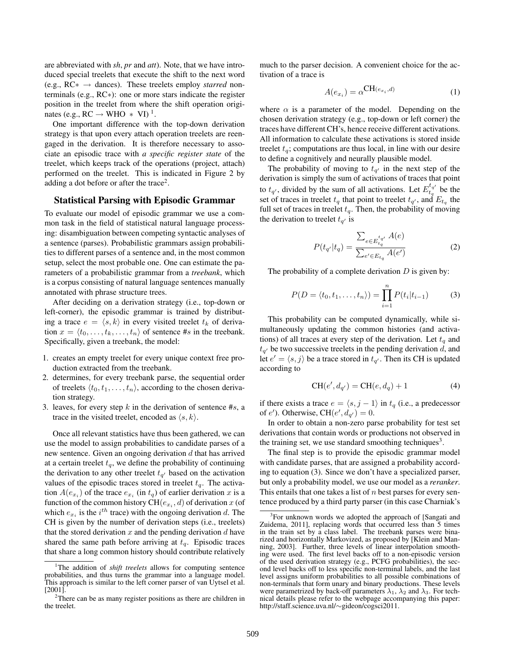are abbreviated with *sh*, *pr* and *att*). Note, that we have introduced special treelets that execute the shift to the next word (e.g., RC∗ → dances). These treelets employ *starred* nonterminals (e.g., RC∗): one or more stars indicate the register position in the treelet from where the shift operation originates (e.g.,  $RC \rightarrow WHO \ast VI$ )<sup>1</sup>.

One important difference with the top-down derivation strategy is that upon every attach operation treelets are reengaged in the derivation. It is therefore necessary to associate an episodic trace with *a specific register state* of the treelet, which keeps track of the operations (project, attach) performed on the treelet. This is indicated in Figure 2 by adding a dot before or after the trace<sup>2</sup>.

## Statistical Parsing with Episodic Grammar

To evaluate our model of episodic grammar we use a common task in the field of statistical natural language processing: disambiguation between competing syntactic analyses of a sentence (parses). Probabilistic grammars assign probabilities to different parses of a sentence and, in the most common setup, select the most probable one. One can estimate the parameters of a probabilistic grammar from a *treebank*, which is a corpus consisting of natural language sentences manually annotated with phrase structure trees.

After deciding on a derivation strategy (i.e., top-down or left-corner), the episodic grammar is trained by distributing a trace  $e = \langle s, k \rangle$  in every visited treelet  $t_k$  of derivation  $x = \langle t_0, \ldots, t_k, \ldots, t_n \rangle$  of sentence #s in the treebank. Specifically, given a treebank, the model:

- 1. creates an empty treelet for every unique context free production extracted from the treebank.
- 2. determines, for every treebank parse, the sequential order of treelets  $\langle t_0, t_1, \ldots, t_n \rangle$ , according to the chosen derivation strategy.
- 3. leaves, for every step  $k$  in the derivation of sentence  $\#s$ , a trace in the visited treelet, encoded as  $\langle s, k \rangle$ .

Once all relevant statistics have thus been gathered, we can use the model to assign probabilities to candidate parses of a new sentence. Given an ongoing derivation  $d$  that has arrived at a certain treelet  $t<sub>q</sub>$ , we define the probability of continuing the derivation to any other treelet  $t_{q'}$  based on the activation values of the episodic traces stored in treelet  $t<sub>q</sub>$ . The activation  $A(e_{x_i})$  of the trace  $e_{x_i}$  (in  $t_q$ ) of earlier derivation x is a function of the common history CH $(e_{x_i}, d)$  of derivation  $x$  (of which  $e_{x_i}$  is the  $i^{th}$  trace) with the ongoing derivation d. The CH is given by the number of derivation steps (i.e., treelets) that the stored derivation  $x$  and the pending derivation  $d$  have shared the same path before arriving at  $t_q$ . Episodic traces that share a long common history should contribute relatively much to the parser decision. A convenient choice for the activation of a trace is

$$
A(e_{x_i}) = \alpha^{\mathbf{CH}(e_{x_i}, d)} \tag{1}
$$

where  $\alpha$  is a parameter of the model. Depending on the chosen derivation strategy (e.g., top-down or left corner) the traces have different CH's, hence receive different activations. All information to calculate these activations is stored inside treelet  $t_a$ ; computations are thus local, in line with our desire to define a cognitively and neurally plausible model.

The probability of moving to  $t_{q'}$  in the next step of the derivation is simply the sum of activations of traces that point to  $t_{q'}$ , divided by the sum of all activations. Let  $E_{t_q}^{t_{q'}}$  be the set of traces in treelet  $t_q$  that point to treelet  $t_{q'}$ , and  $E_{t_q}$  the full set of traces in treelet  $t_q$ . Then, the probability of moving the derivation to treelet  $t_{q'}$  is

$$
P(t_{q'}|t_q) = \frac{\sum_{e \in E_{t_q}^{t_{q'}}} A(e)}{\sum_{e' \in E_{t_q}} A(e')}
$$
 (2)

The probability of a complete derivation  $D$  is given by:

$$
P(D = \langle t_0, t_1, \dots, t_n \rangle) = \prod_{i=1}^n P(t_i | t_{i-1})
$$
 (3)

This probability can be computed dynamically, while simultaneously updating the common histories (and activations) of all traces at every step of the derivation. Let  $t_q$  and  $t_{q'}$  be two successive treelets in the pending derivation d, and let  $e' = \langle s, j \rangle$  be a trace stored in  $t_{q'}$ . Then its CH is updated according to

$$
CH(e', d_{q'}) = CH(e, d_q) + 1 \tag{4}
$$

if there exists a trace  $e = \langle s, j - 1 \rangle$  in  $t_q$  (i.e., a predecessor of e'). Otherwise,  $CH(e', d_{q'}) = 0$ .

In order to obtain a non-zero parse probability for test set derivations that contain words or productions not observed in the training set, we use standard smoothing techniques<sup>3</sup>.

The final step is to provide the episodic grammar model with candidate parses, that are assigned a probability according to equation (3). Since we don't have a specialized parser, but only a probability model, we use our model as a *reranker*. This entails that one takes a list of  $n$  best parses for every sentence produced by a third party parser (in this case Charniak's

<sup>&</sup>lt;sup>1</sup>The addition of *shift treelets* allows for computing sentence probabilities, and thus turns the grammar into a language model. This approach is similar to the left corner parser of van Uytsel et al. [2001].

<sup>2</sup>There can be as many register positions as there are children in the treelet.

<sup>&</sup>lt;sup>3</sup>For unknown words we adopted the approach of [Sangati and Zuidema, 2011], replacing words that occurred less than 5 times in the train set by a class label. The treebank parses were binarized and horizontally Markovized, as proposed by [Klein and Manning, 2003]. Further, three levels of linear interpolation smoothing were used. The first level backs off to a non-episodic version of the used derivation strategy (e.g., PCFG probabilities), the second level backs off to less specific non-terminal labels, and the last level assigns uniform probabilities to all possible combinations of non-terminals that form unary and binary productions. These levels were parametrized by back-off parameters  $\lambda_1$ ,  $\lambda_2$  and  $\lambda_3$ . For technical details please refer to the webpage accompanying this paper: http://staff.science.uva.nl/∼gideon/cogsci2011.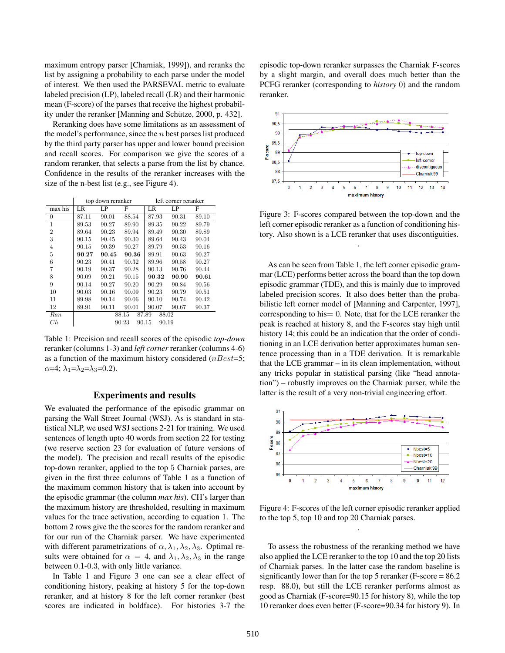maximum entropy parser [Charniak, 1999]), and reranks the list by assigning a probability to each parse under the model of interest. We then used the PARSEVAL metric to evaluate labeled precision (LP), labeled recall (LR) and their harmonic mean (F-score) of the parses that receive the highest probability under the reranker [Manning and Schütze, 2000, p. 432].

Reranking does have some limitations as an assessment of the model's performance, since the  $n$  best parses list produced by the third party parser has upper and lower bound precision and recall scores. For comparison we give the scores of a random reranker, that selects a parse from the list by chance. Confidence in the results of the reranker increases with the size of the n-best list (e.g., see Figure 4).

|                | top down reranker       |       |       | left corner reranker |       |       |
|----------------|-------------------------|-------|-------|----------------------|-------|-------|
| max his        | LR                      | LP    | F     | LR                   | LP    | F     |
| $\mathbf{0}$   | 87.11                   | 90.01 | 88.54 | 87.93                | 90.31 | 89.10 |
| $\mathbf{1}$   | 89.53                   | 90.27 | 89.90 | 89.35                | 90.22 | 89.79 |
| $\overline{2}$ | 89.64                   | 90.23 | 89.94 | 89.49                | 90.30 | 89.89 |
| 3              | 90.15                   | 90.45 | 90.30 | 89.64                | 90.43 | 90.04 |
| $\overline{4}$ | 90.15                   | 90.39 | 90.27 | 89.79                | 90.53 | 90.16 |
| 5              | 90.27                   | 90.45 | 90.36 | 89.91                | 90.63 | 90.27 |
| 6              | 90.23                   | 90.41 | 90.32 | 89.96                | 90.58 | 90.27 |
| 7              | 90.19                   | 90.37 | 90.28 | 90.13                | 90.76 | 90.44 |
| 8              | 90.09                   | 90.21 | 90.15 | 90.32                | 90.90 | 90.61 |
| 9              | 90.14                   | 90.27 | 90.20 | 90.29                | 90.84 | 90.56 |
| 10             | 90.03                   | 90.16 | 90.09 | 90.23                | 90.79 | 90.51 |
| 11             | 89.98                   | 90.14 | 90.06 | 90.10                | 90.74 | 90.42 |
| 12             | 89.91                   | 90.11 | 90.01 | 90.07                | 90.67 | 90.37 |
| Ran            |                         |       | 88.15 | 87.89<br>88.02       |       |       |
| C h            | 90.23<br>90.15<br>90.19 |       |       |                      |       |       |

Table 1: Precision and recall scores of the episodic *top-down* reranker (columns 1-3) and *left corner* reranker (columns 4-6) as a function of the maximum history considered ( $nBest=5$ ;  $\alpha$ =4;  $\lambda_1 = \lambda_2 = \lambda_3 = 0.2$ ).

#### Experiments and results

We evaluated the performance of the episodic grammar on parsing the Wall Street Journal (WSJ). As is standard in statistical NLP, we used WSJ sections 2-21 for training. We used sentences of length upto 40 words from section 22 for testing (we reserve section 23 for evaluation of future versions of the model). The precision and recall results of the episodic top-down reranker, applied to the top 5 Charniak parses, are given in the first three columns of Table 1 as a function of the maximum common history that is taken into account by the episodic grammar (the column *max his*). CH's larger than the maximum history are thresholded, resulting in maximum values for the trace activation, according to equation 1. The bottom 2 rows give the the scores for the random reranker and for our run of the Charniak parser. We have experimented with different parametrizations of  $\alpha$ ,  $\lambda_1$ ,  $\lambda_2$ ,  $\lambda_3$ . Optimal results were obtained for  $\alpha = 4$ , and  $\lambda_1, \lambda_2, \lambda_3$  in the range between 0.1-0.3, with only little variance.

In Table 1 and Figure 3 one can see a clear effect of conditioning history, peaking at history 5 for the top-down reranker, and at history 8 for the left corner reranker (best scores are indicated in boldface). For histories 3-7 the episodic top-down reranker surpasses the Charniak F-scores by a slight margin, and overall does much better than the PCFG reranker (corresponding to *history* 0) and the random reranker.



Figure 3: F-scores compared between the top-down and the left corner episodic reranker as a function of conditioning history. Also shown is a LCE reranker that uses discontiguities.

.

As can be seen from Table 1, the left corner episodic grammar (LCE) performs better across the board than the top down episodic grammar (TDE), and this is mainly due to improved labeled precision scores. It also does better than the probabilistic left corner model of [Manning and Carpenter, 1997], corresponding to his= 0. Note, that for the LCE reranker the peak is reached at history 8, and the F-scores stay high until history 14; this could be an indication that the order of conditioning in an LCE derivation better approximates human sentence processing than in a TDE derivation. It is remarkable that the LCE grammar – in its clean implementation, without any tricks popular in statistical parsing (like "head annotation") – robustly improves on the Charniak parser, while the latter is the result of a very non-trivial engineering effort.



Figure 4: F-scores of the left corner episodic reranker applied to the top 5, top 10 and top 20 Charniak parses. .

To assess the robustness of the reranking method we have also applied the LCE reranker to the top 10 and the top 20 lists of Charniak parses. In the latter case the random baseline is significantly lower than for the top 5 reranker (F-score = 86.2) resp. 88.0), but still the LCE reranker performs almost as good as Charniak (F-score=90.15 for history 8), while the top 10 reranker does even better (F-score=90.34 for history 9). In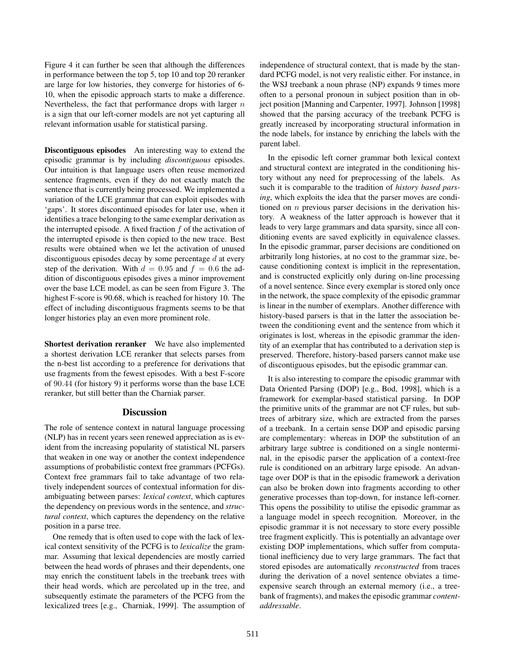Figure 4 it can further be seen that although the differences in performance between the top 5, top 10 and top 20 reranker are large for low histories, they converge for histories of 6- 10, when the episodic approach starts to make a difference. Nevertheless, the fact that performance drops with larger  $n$ is a sign that our left-corner models are not yet capturing all relevant information usable for statistical parsing.

Discontiguous episodes An interesting way to extend the episodic grammar is by including *discontiguous* episodes. Our intuition is that language users often reuse memorized sentence fragments, even if they do not exactly match the sentence that is currently being processed. We implemented a variation of the LCE grammar that can exploit episodes with 'gaps'. It stores discontinued episodes for later use, when it identifies a trace belonging to the same exemplar derivation as the interrupted episode. A fixed fraction  $f$  of the activation of the interrupted episode is then copied to the new trace. Best results were obtained when we let the activation of unused discontiguous episodes decay by some percentage  $d$  at every step of the derivation. With  $d = 0.95$  and  $f = 0.6$  the addition of discontiguous episodes gives a minor improvement over the base LCE model, as can be seen from Figure 3. The highest F-score is 90.68, which is reached for history 10. The effect of including discontiguous fragments seems to be that longer histories play an even more prominent role.

Shortest derivation reranker We have also implemented a shortest derivation LCE reranker that selects parses from the n-best list according to a preference for derivations that use fragments from the fewest episodes. With a best F-score of 90.44 (for history 9) it performs worse than the base LCE reranker, but still better than the Charniak parser.

# Discussion

The role of sentence context in natural language processing (NLP) has in recent years seen renewed appreciation as is evident from the increasing popularity of statistical NL parsers that weaken in one way or another the context independence assumptions of probabilistic context free grammars (PCFGs). Context free grammars fail to take advantage of two relatively independent sources of contextual information for disambiguating between parses: *lexical context*, which captures the dependency on previous words in the sentence, and *structural context*, which captures the dependency on the relative position in a parse tree.

One remedy that is often used to cope with the lack of lexical context sensitivity of the PCFG is to *lexicalize* the grammar. Assuming that lexical dependencies are mostly carried between the head words of phrases and their dependents, one may enrich the constituent labels in the treebank trees with their head words, which are percolated up in the tree, and subsequently estimate the parameters of the PCFG from the lexicalized trees [e.g., Charniak, 1999]. The assumption of independence of structural context, that is made by the standard PCFG model, is not very realistic either. For instance, in the WSJ treebank a noun phrase (NP) expands 9 times more often to a personal pronoun in subject position than in object position [Manning and Carpenter, 1997]. Johnson [1998] showed that the parsing accuracy of the treebank PCFG is greatly increased by incorporating structural information in the node labels, for instance by enriching the labels with the parent label.

In the episodic left corner grammar both lexical context and structural context are integrated in the conditioning history without any need for preprocessing of the labels. As such it is comparable to the tradition of *history based parsing*, which exploits the idea that the parser moves are conditioned on  $n$  previous parser decisions in the derivation history. A weakness of the latter approach is however that it leads to very large grammars and data sparsity, since all conditioning events are saved explicitly in equivalence classes. In the episodic grammar, parser decisions are conditioned on arbitrarily long histories, at no cost to the grammar size, because conditioning context is implicit in the representation, and is constructed explicitly only during on-line processing of a novel sentence. Since every exemplar is stored only once in the network, the space complexity of the episodic grammar is linear in the number of exemplars. Another difference with history-based parsers is that in the latter the association between the conditioning event and the sentence from which it originates is lost, whereas in the episodic grammar the identity of an exemplar that has contributed to a derivation step is preserved. Therefore, history-based parsers cannot make use of discontiguous episodes, but the episodic grammar can.

It is also interesting to compare the episodic grammar with Data Oriented Parsing (DOP) [e.g., Bod, 1998], which is a framework for exemplar-based statistical parsing. In DOP the primitive units of the grammar are not CF rules, but subtrees of arbitrary size, which are extracted from the parses of a treebank. In a certain sense DOP and episodic parsing are complementary: whereas in DOP the substitution of an arbitrary large subtree is conditioned on a single nonterminal, in the episodic parser the application of a context-free rule is conditioned on an arbitrary large episode. An advantage over DOP is that in the episodic framework a derivation can also be broken down into fragments according to other generative processes than top-down, for instance left-corner. This opens the possibility to utilise the episodic grammar as a language model in speech recognition. Moreover, in the episodic grammar it is not necessary to store every possible tree fragment explicitly. This is potentially an advantage over existing DOP implementations, which suffer from computational inefficiency due to very large grammars. The fact that stored episodes are automatically *reconstructed* from traces during the derivation of a novel sentence obviates a timeexpensive search through an external memory (i.e., a treebank of fragments), and makes the episodic grammar *contentaddressable*.